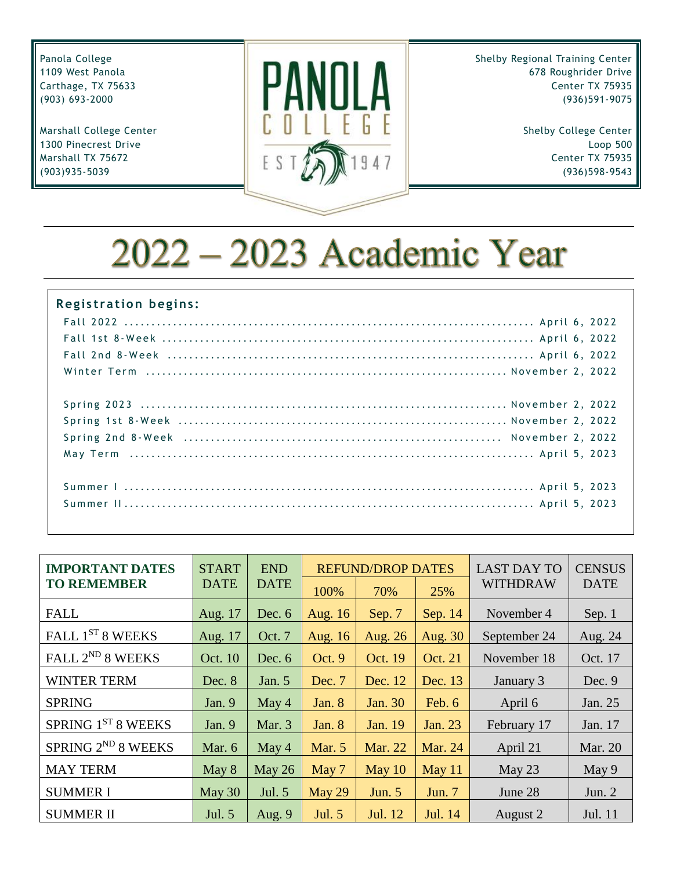Panola College 1109 West Panola Carthage, TX 75633 (903) 693-2000

Marshall College Center 1300 Pinecrest Drive Marshall TX 75672 (903)935-5039



Shelby Regional Training Center 678 Roughrider Drive Center TX 75935 (936)591-9075

> Shelby College Center Loop 500 Center TX 75935 (936)598-9543

# 2022 - 2023 Academic Year

| <b>Registration begins:</b> |
|-----------------------------|
|                             |
|                             |
|                             |
|                             |
|                             |
|                             |
|                             |
|                             |
|                             |
|                             |

| <b>IMPORTANT DATES</b>       | <b>START</b>   | <b>END</b>  |               | <b>REFUND/DROP DATES</b> |          | <b>LAST DAY TO</b> | <b>CENSUS</b> |
|------------------------------|----------------|-------------|---------------|--------------------------|----------|--------------------|---------------|
| <b>TO REMEMBER</b>           | <b>DATE</b>    | <b>DATE</b> | 100%          | 70%                      | 25%      | <b>WITHDRAW</b>    | <b>DATE</b>   |
| <b>FALL</b>                  | Aug. 17        | Dec. $6$    | Aug. 16       | Sep. 7                   | Sep. 14  | November 4         | Sep. 1        |
| FALL 1ST 8 WEEKS             | Aug. 17        | Oct. 7      | Aug. 16       | Aug. 26                  | Aug. 30  | September 24       | Aug. 24       |
| FALL 2 <sup>ND</sup> 8 WEEKS | <b>Oct. 10</b> | Dec. $6$    | Oct. 9        | <b>Oct. 19</b>           | Oct. 21  | November 18        | Oct. 17       |
| <b>WINTER TERM</b>           | Dec. 8         | Jan. $5$    | Dec. 7        | Dec. 12                  | Dec. 13  | January 3          | Dec. 9        |
| <b>SPRING</b>                | Jan. $9$       | May $4$     | Jan. $8$      | Jan. 30                  | Feb. 6   | April 6            | Jan. 25       |
| SPRING 1ST 8 WEEKS           | Jan. $9$       | Mar. 3      | Jan. $8$      | Jan. 19                  | Jan. 23  | February 17        | Jan. 17       |
| SPRING $2^{ND}$ 8 WEEKS      | Mar. 6         | May $4$     | <b>Mar.</b> 5 | <b>Mar. 22</b>           | Mar. 24  | April 21           | Mar. 20       |
| <b>MAY TERM</b>              | May 8          | May 26      | May 7         | May $10$                 | May 11   | May $23$           | May 9         |
| <b>SUMMER I</b>              | May 30         | Jul. 5      | May 29        | Jun. 5                   | Jun. $7$ | June 28            | Jun. $2$      |
| <b>SUMMER II</b>             | Jul. 5         | Aug. $9$    | Jul. 5        | Jul. 12                  | Jul. 14  | August 2           | Jul. 11       |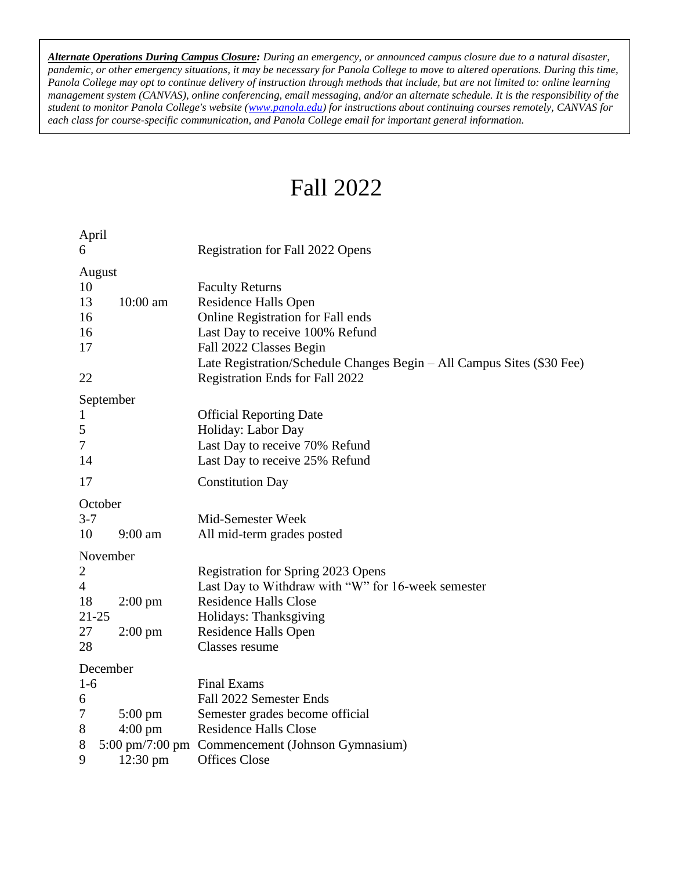*Alternate Operations During Campus Closure: During an emergency, or announced campus closure due to a natural disaster, pandemic, or other emergency situations, it may be necessary for Panola College to move to altered operations. During this time, Panola College may opt to continue delivery of instruction through methods that include, but are not limited to: online learning management system (CANVAS), online conferencing, email messaging, and/or an alternate schedule. It is the responsibility of the student to monitor Panola College's website [\(www.panola.edu\)](http://www.panola.edu/) for instructions about continuing courses remotely, CANVAS for each class for course-specific communication, and Panola College email for important general information.*

### Fall 2022

| April          |                   |                                                                        |
|----------------|-------------------|------------------------------------------------------------------------|
| 6              |                   | Registration for Fall 2022 Opens                                       |
|                | August            |                                                                        |
| 10             |                   | <b>Faculty Returns</b>                                                 |
| 13             | 10:00 am          | <b>Residence Halls Open</b>                                            |
| 16             |                   | Online Registration for Fall ends                                      |
| 16             |                   | Last Day to receive 100% Refund                                        |
| 17             |                   | Fall 2022 Classes Begin                                                |
|                |                   | Late Registration/Schedule Changes Begin – All Campus Sites (\$30 Fee) |
| 22             |                   | Registration Ends for Fall 2022                                        |
|                | September         |                                                                        |
| 1              |                   | <b>Official Reporting Date</b>                                         |
| 5              |                   | Holiday: Labor Day                                                     |
| $\overline{7}$ |                   | Last Day to receive 70% Refund                                         |
| 14             |                   | Last Day to receive 25% Refund                                         |
| 17             |                   | <b>Constitution Day</b>                                                |
|                | October           |                                                                        |
| $3 - 7$        |                   | Mid-Semester Week                                                      |
| 10             | $9:00$ am         | All mid-term grades posted                                             |
|                | November          |                                                                        |
| $\overline{2}$ |                   | Registration for Spring 2023 Opens                                     |
| $\overline{4}$ |                   | Last Day to Withdraw with "W" for 16-week semester                     |
| 18             | $2:00 \text{ pm}$ | <b>Residence Halls Close</b>                                           |
| 21-25          |                   | Holidays: Thanksgiving                                                 |
| 27             | $2:00 \text{ pm}$ | Residence Halls Open                                                   |
| 28             |                   | Classes resume                                                         |
|                | December          |                                                                        |
| $1-6$          |                   | <b>Final Exams</b>                                                     |
| 6              |                   | Fall 2022 Semester Ends                                                |
| 7              | $5:00 \text{ pm}$ | Semester grades become official                                        |
| 8              | $4:00 \text{ pm}$ | <b>Residence Halls Close</b>                                           |
| 8              |                   | 5:00 pm/7:00 pm Commencement (Johnson Gymnasium)                       |
| 9              | $12:30$ pm        | <b>Offices Close</b>                                                   |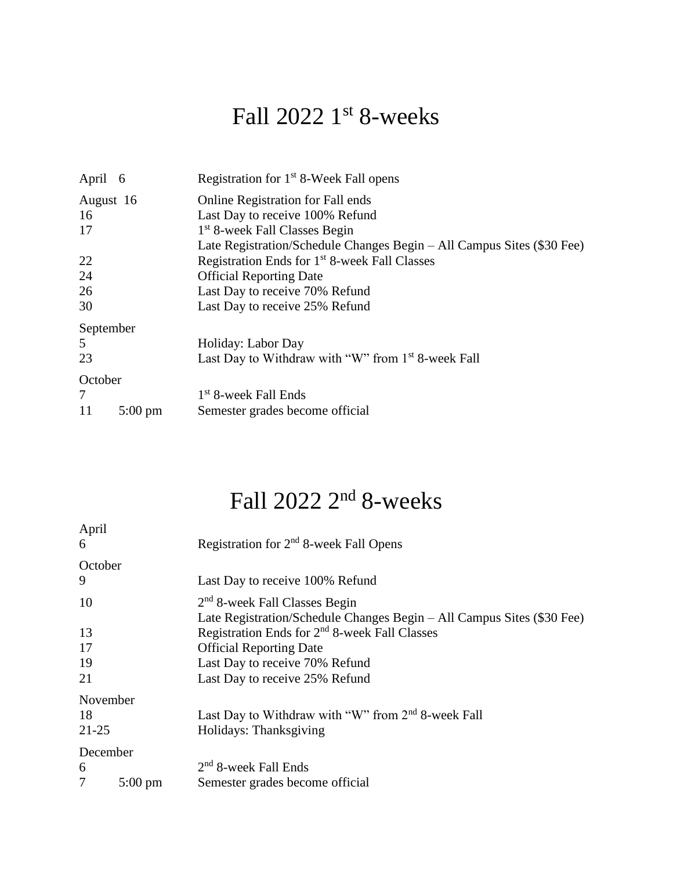## Fall 2022 1<sup>st</sup> 8-weeks

| April 6           | Registration for 1 <sup>st</sup> 8-Week Fall opens                     |  |  |
|-------------------|------------------------------------------------------------------------|--|--|
| August 16         | <b>Online Registration for Fall ends</b>                               |  |  |
|                   | Last Day to receive 100% Refund                                        |  |  |
|                   | 1 <sup>st</sup> 8-week Fall Classes Begin                              |  |  |
|                   | Late Registration/Schedule Changes Begin - All Campus Sites (\$30 Fee) |  |  |
|                   | Registration Ends for 1 <sup>st</sup> 8-week Fall Classes              |  |  |
|                   | <b>Official Reporting Date</b>                                         |  |  |
|                   | Last Day to receive 70% Refund                                         |  |  |
|                   | Last Day to receive 25% Refund                                         |  |  |
| September         |                                                                        |  |  |
|                   | Holiday: Labor Day                                                     |  |  |
|                   | Last Day to Withdraw with "W" from 1 <sup>st</sup> 8-week Fall         |  |  |
| October           |                                                                        |  |  |
|                   | 1 <sup>st</sup> 8-week Fall Ends                                       |  |  |
| $5:00 \text{ pm}$ | Semester grades become official                                        |  |  |
|                   |                                                                        |  |  |

### Fall 2022 2<sup>nd</sup> 8-weeks

| April     |                   |                                                                        |  |  |
|-----------|-------------------|------------------------------------------------------------------------|--|--|
| 6         |                   | Registration for $2nd$ 8-week Fall Opens                               |  |  |
| October   |                   |                                                                        |  |  |
| 9         |                   | Last Day to receive 100% Refund                                        |  |  |
| 10        |                   | $2nd$ 8-week Fall Classes Begin                                        |  |  |
|           |                   | Late Registration/Schedule Changes Begin – All Campus Sites (\$30 Fee) |  |  |
| 13        |                   | Registration Ends for 2 <sup>nd</sup> 8-week Fall Classes              |  |  |
| 17        |                   | <b>Official Reporting Date</b>                                         |  |  |
| 19        |                   | Last Day to receive 70% Refund                                         |  |  |
| 21        |                   | Last Day to receive 25% Refund                                         |  |  |
| November  |                   |                                                                        |  |  |
| 18        |                   | Last Day to Withdraw with "W" from 2 <sup>nd</sup> 8-week Fall         |  |  |
| $21 - 25$ |                   | Holidays: Thanksgiving                                                 |  |  |
| December  |                   |                                                                        |  |  |
| 6         |                   | $2nd$ 8-week Fall Ends                                                 |  |  |
| 7         | $5:00 \text{ pm}$ | Semester grades become official                                        |  |  |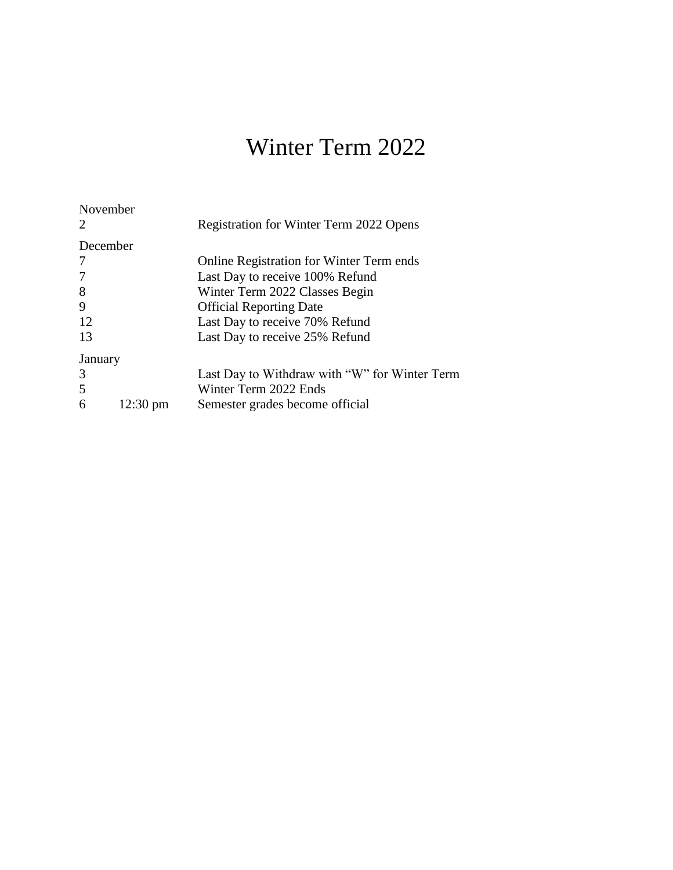## Winter Term 2022

| November |                    | Registration for Winter Term 2022 Opens         |
|----------|--------------------|-------------------------------------------------|
| December |                    |                                                 |
|          |                    | <b>Online Registration for Winter Term ends</b> |
|          |                    | Last Day to receive 100% Refund                 |
| 8        |                    | Winter Term 2022 Classes Begin                  |
| 9        |                    | <b>Official Reporting Date</b>                  |
| 12       |                    | Last Day to receive 70% Refund                  |
| 13       |                    | Last Day to receive 25% Refund                  |
| January  |                    |                                                 |
| 3        |                    | Last Day to Withdraw with "W" for Winter Term   |
| 5        |                    | Winter Term 2022 Ends                           |
| 6        | $12:30 \text{ pm}$ | Semester grades become official                 |
|          |                    |                                                 |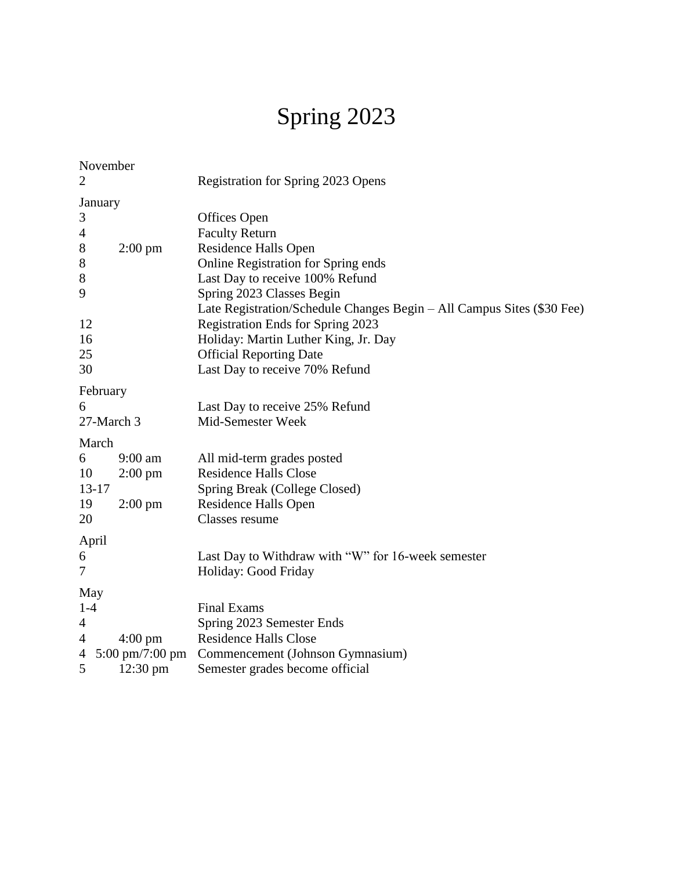## Spring 2023

|                | November          |                                                                        |
|----------------|-------------------|------------------------------------------------------------------------|
| $\overline{2}$ |                   | Registration for Spring 2023 Opens                                     |
| January        |                   |                                                                        |
| 3              |                   | Offices Open                                                           |
| $\overline{4}$ |                   | <b>Faculty Return</b>                                                  |
| $8\,$          | $2:00 \text{ pm}$ | Residence Halls Open                                                   |
| $8\,$          |                   | Online Registration for Spring ends                                    |
| 8              |                   | Last Day to receive 100% Refund                                        |
| 9              |                   | Spring 2023 Classes Begin                                              |
|                |                   | Late Registration/Schedule Changes Begin - All Campus Sites (\$30 Fee) |
| 12             |                   | Registration Ends for Spring 2023                                      |
| 16             |                   | Holiday: Martin Luther King, Jr. Day                                   |
| 25             |                   | <b>Official Reporting Date</b>                                         |
| 30             |                   | Last Day to receive 70% Refund                                         |
| February       |                   |                                                                        |
| 6              |                   | Last Day to receive 25% Refund                                         |
| 27-March 3     |                   | Mid-Semester Week                                                      |
| March          |                   |                                                                        |
| 6              | 9:00 am           | All mid-term grades posted                                             |
| 10             | $2:00 \text{ pm}$ | <b>Residence Halls Close</b>                                           |
| $13 - 17$      |                   | Spring Break (College Closed)                                          |
| 19             | $2:00 \text{ pm}$ | Residence Halls Open                                                   |
| 20             |                   | Classes resume                                                         |
| April          |                   |                                                                        |
| 6              |                   | Last Day to Withdraw with "W" for 16-week semester                     |
| $\overline{7}$ |                   | Holiday: Good Friday                                                   |
| May            |                   |                                                                        |
| $1-4$          |                   | <b>Final Exams</b>                                                     |
| 4              |                   | Spring 2023 Semester Ends                                              |
| 4              | $4:00 \text{ pm}$ | <b>Residence Halls Close</b>                                           |
| 4              | 5:00 pm/7:00 pm   | Commencement (Johnson Gymnasium)                                       |
| 5              | $12:30$ pm        | Semester grades become official                                        |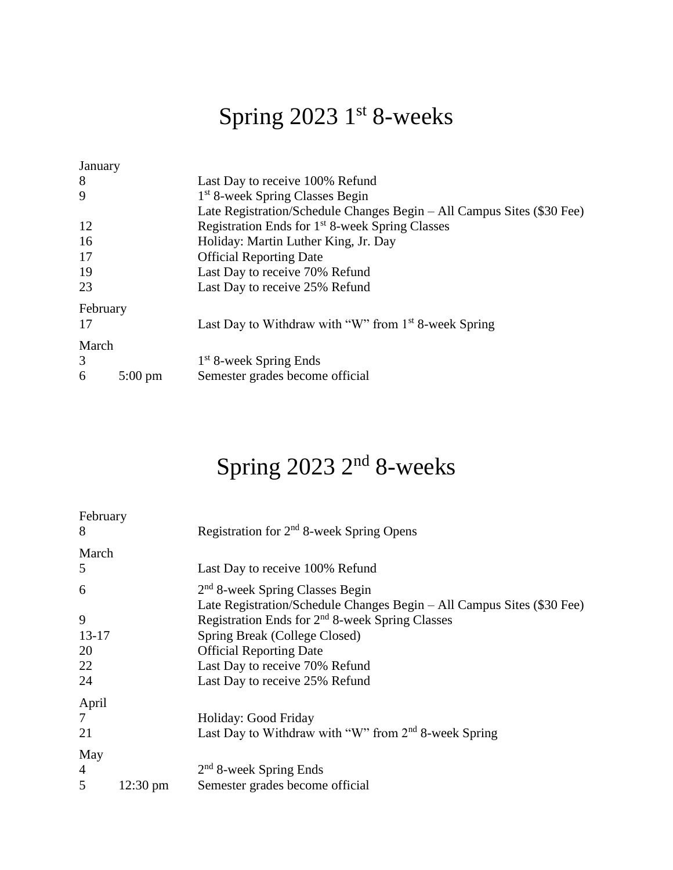## Spring 2023 1st 8-weeks

| January  |                                      |                                                                        |  |  |
|----------|--------------------------------------|------------------------------------------------------------------------|--|--|
| 8        |                                      | Last Day to receive 100% Refund                                        |  |  |
| 9        |                                      | 1 <sup>st</sup> 8-week Spring Classes Begin                            |  |  |
|          |                                      | Late Registration/Schedule Changes Begin – All Campus Sites (\$30 Fee) |  |  |
| 12       |                                      | Registration Ends for 1 <sup>st</sup> 8-week Spring Classes            |  |  |
| 16       | Holiday: Martin Luther King, Jr. Day |                                                                        |  |  |
| 17       |                                      | <b>Official Reporting Date</b>                                         |  |  |
| 19       |                                      | Last Day to receive 70% Refund                                         |  |  |
| 23       |                                      | Last Day to receive 25% Refund                                         |  |  |
| February |                                      |                                                                        |  |  |
| 17       |                                      | Last Day to Withdraw with "W" from $1st$ 8-week Spring                 |  |  |
| March    |                                      |                                                                        |  |  |
| 3        |                                      | 1 <sup>st</sup> 8-week Spring Ends                                     |  |  |
| 6        | $5:00 \text{ pm}$                    | Semester grades become official                                        |  |  |
|          |                                      |                                                                        |  |  |

## Spring 2023 2<sup>nd</sup> 8-weeks

| February       |                    |                                                                        |
|----------------|--------------------|------------------------------------------------------------------------|
| 8              |                    | Registration for 2 <sup>nd</sup> 8-week Spring Opens                   |
| March          |                    |                                                                        |
| 5              |                    | Last Day to receive 100% Refund                                        |
| 6              |                    | $2nd$ 8-week Spring Classes Begin                                      |
|                |                    | Late Registration/Schedule Changes Begin – All Campus Sites (\$30 Fee) |
| 9              |                    | Registration Ends for 2 <sup>nd</sup> 8-week Spring Classes            |
| $13-17$        |                    | Spring Break (College Closed)                                          |
| 20             |                    | <b>Official Reporting Date</b>                                         |
| 22             |                    | Last Day to receive 70% Refund                                         |
| 24             |                    | Last Day to receive 25% Refund                                         |
| April          |                    |                                                                        |
| 7              |                    | Holiday: Good Friday                                                   |
| 21             |                    | Last Day to Withdraw with "W" from $2nd$ 8-week Spring                 |
| May            |                    |                                                                        |
| $\overline{4}$ |                    | $2nd$ 8-week Spring Ends                                               |
| 5              | $12:30 \text{ pm}$ | Semester grades become official                                        |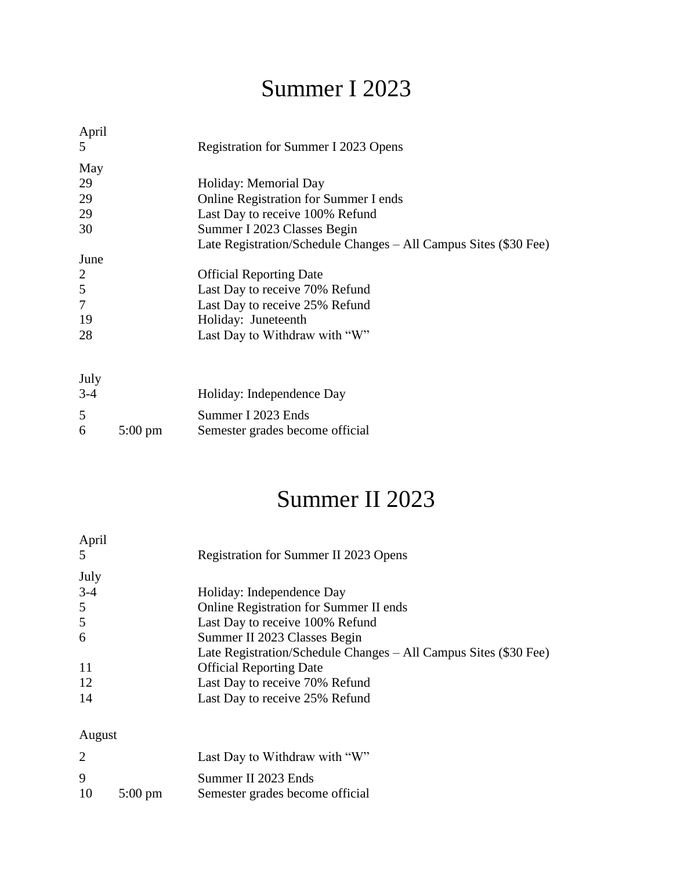## Summer I 2023

| April          |                                                                  |
|----------------|------------------------------------------------------------------|
| 5              | Registration for Summer I 2023 Opens                             |
| May            |                                                                  |
| 29             | Holiday: Memorial Day                                            |
| 29             | Online Registration for Summer I ends                            |
| 29             | Last Day to receive 100% Refund                                  |
| 30             | Summer I 2023 Classes Begin                                      |
|                | Late Registration/Schedule Changes – All Campus Sites (\$30 Fee) |
| June           |                                                                  |
| 2              | <b>Official Reporting Date</b>                                   |
| 5              | Last Day to receive 70% Refund                                   |
| $\overline{7}$ | Last Day to receive 25% Refund                                   |
| 19             | Holiday: Juneteenth                                              |
| 28             | Last Day to Withdraw with "W"                                    |
|                |                                                                  |
|                |                                                                  |
| July           |                                                                  |
| $3-4$          | Holiday: Independence Day                                        |
|                |                                                                  |

| 5 |                   | Summer I 2023 Ends              |
|---|-------------------|---------------------------------|
| 6 | $5:00 \text{ pm}$ | Semester grades become official |

## Summer II 2023

| April<br>.5 | Registration for Summer II 2023 Opens                            |
|-------------|------------------------------------------------------------------|
| July        |                                                                  |
| $3-4$       | Holiday: Independence Day                                        |
| 5           | <b>Online Registration for Summer II ends</b>                    |
| 5           | Last Day to receive 100% Refund                                  |
| 6           | Summer II 2023 Classes Begin                                     |
|             | Late Registration/Schedule Changes – All Campus Sites (\$30 Fee) |
| -11         | <b>Official Reporting Date</b>                                   |
| 12          | Last Day to receive 70% Refund                                   |
| 14          | Last Day to receive 25% Refund                                   |
|             |                                                                  |

### August

| $\overline{2}$ |                   | Last Day to Withdraw with "W"   |
|----------------|-------------------|---------------------------------|
| 9              |                   | Summer II 2023 Ends             |
| 10             | $5:00 \text{ pm}$ | Semester grades become official |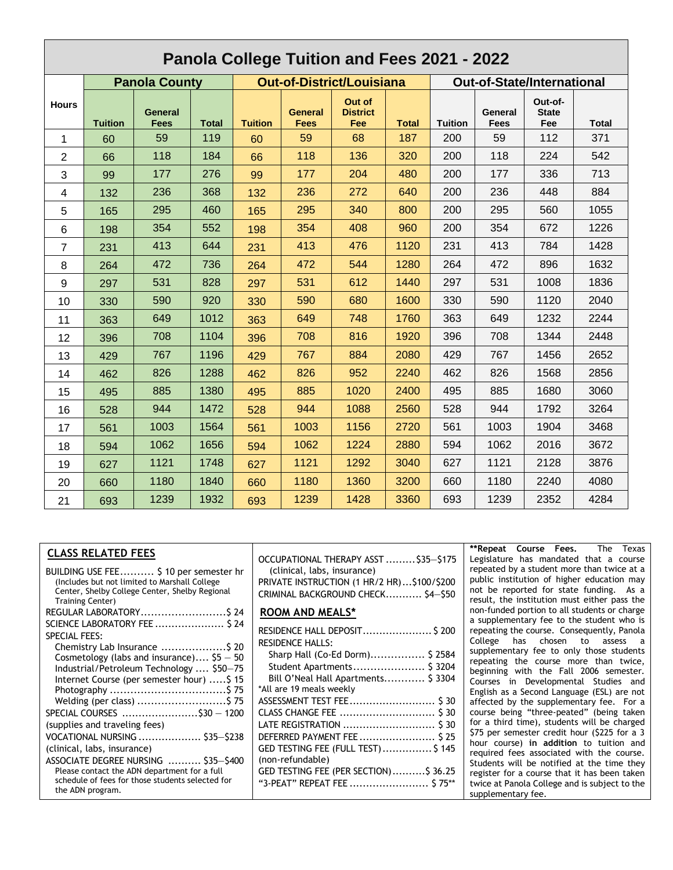| Panola College Tuition and Fees 2021 - 2022 |                |                                                          |              |                |                        |                                   |              |                |                        |                                |              |
|---------------------------------------------|----------------|----------------------------------------------------------|--------------|----------------|------------------------|-----------------------------------|--------------|----------------|------------------------|--------------------------------|--------------|
|                                             |                | <b>Out-of-District/Louisiana</b><br><b>Panola County</b> |              |                |                        | <b>Out-of-State/International</b> |              |                |                        |                                |              |
| <b>Hours</b>                                | <b>Tuition</b> | <b>General</b><br>Fees                                   | <b>Total</b> | <b>Tuition</b> | <b>General</b><br>Fees | Out of<br><b>District</b><br>Fee  | <b>Total</b> | <b>Tuition</b> | General<br><b>Fees</b> | Out-of-<br><b>State</b><br>Fee | <b>Total</b> |
| 1                                           | 60             | 59                                                       | 119          | 60             | 59                     | 68                                | 187          | 200            | 59                     | 112                            | 371          |
| 2                                           | 66             | 118                                                      | 184          | 66             | 118                    | 136                               | 320          | 200            | 118                    | 224                            | 542          |
| 3                                           | 99             | 177                                                      | 276          | 99             | 177                    | 204                               | 480          | 200            | 177                    | 336                            | 713          |
| 4                                           | 132            | 236                                                      | 368          | 132            | 236                    | 272                               | 640          | 200            | 236                    | 448                            | 884          |
| 5                                           | 165            | 295                                                      | 460          | 165            | 295                    | 340                               | 800          | 200            | 295                    | 560                            | 1055         |
| 6                                           | 198            | 354                                                      | 552          | 198            | 354                    | 408                               | 960          | 200            | 354                    | 672                            | 1226         |
| $\overline{7}$                              | 231            | 413                                                      | 644          | 231            | 413                    | 476                               | 1120         | 231            | 413                    | 784                            | 1428         |
| 8                                           | 264            | 472                                                      | 736          | 264            | 472                    | 544                               | 1280         | 264            | 472                    | 896                            | 1632         |
| 9                                           | 297            | 531                                                      | 828          | 297            | 531                    | 612                               | 1440         | 297            | 531                    | 1008                           | 1836         |
| 10                                          | 330            | 590                                                      | 920          | 330            | 590                    | 680                               | 1600         | 330            | 590                    | 1120                           | 2040         |
| 11                                          | 363            | 649                                                      | 1012         | 363            | 649                    | 748                               | 1760         | 363            | 649                    | 1232                           | 2244         |
| 12                                          | 396            | 708                                                      | 1104         | 396            | 708                    | 816                               | 1920         | 396            | 708                    | 1344                           | 2448         |
| 13                                          | 429            | 767                                                      | 1196         | 429            | 767                    | 884                               | 2080         | 429            | 767                    | 1456                           | 2652         |
| 14                                          | 462            | 826                                                      | 1288         | 462            | 826                    | 952                               | 2240         | 462            | 826                    | 1568                           | 2856         |
| 15                                          | 495            | 885                                                      | 1380         | 495            | 885                    | 1020                              | 2400         | 495            | 885                    | 1680                           | 3060         |
| 16                                          | 528            | 944                                                      | 1472         | 528            | 944                    | 1088                              | 2560         | 528            | 944                    | 1792                           | 3264         |
| 17                                          | 561            | 1003                                                     | 1564         | 561            | 1003                   | 1156                              | 2720         | 561            | 1003                   | 1904                           | 3468         |
| 18                                          | 594            | 1062                                                     | 1656         | 594            | 1062                   | 1224                              | 2880         | 594            | 1062                   | 2016                           | 3672         |
| 19                                          | 627            | 1121                                                     | 1748         | 627            | 1121                   | 1292                              | 3040         | 627            | 1121                   | 2128                           | 3876         |
| 20                                          | 660            | 1180                                                     | 1840         | 660            | 1180                   | 1360                              | 3200         | 660            | 1180                   | 2240                           | 4080         |
| 21                                          | 693            | 1239                                                     | 1932         | 693            | 1239                   | 1428                              | 3360         | 693            | 1239                   | 2352                           | 4284         |

#### **CLASS RELATED FEES**

| BUILDING USE FEE \$ 10 per semester hr<br>(Includes but not limited to Marshall College          |
|--------------------------------------------------------------------------------------------------|
| Center, Shelby College Center, Shelby Regional                                                   |
| <b>Training Center)</b>                                                                          |
| REGULAR LABORATORY\$ 24                                                                          |
| SCIENCE LABORATORY FEE  \$ 24                                                                    |
| <b>SPECIAL FEES:</b>                                                                             |
| Chemistry Lab Insurance \$ 20                                                                    |
| Cosmetology (labs and insurance) $55 - 50$                                                       |
| Industrial/Petroleum Technology  \$50-75                                                         |
| Internet Course (per semester hour) \$15                                                         |
|                                                                                                  |
| Welding (per class) \$ 75                                                                        |
| SPECIAL COURSES \$30 - 1200                                                                      |
| (supplies and traveling fees)                                                                    |
| VOCATIONAL NURSING  \$35-\$238                                                                   |
| (clinical, labs, insurance)                                                                      |
| ASSOCIATE DEGREE NURSING  \$35-\$400                                                             |
| Please contact the ADN department for a full<br>schedule of fees for those students selected for |
| the ADN program.                                                                                 |
|                                                                                                  |

OCCUPATIONAL THERAPY ASST .........\$35—\$175 (clinical, labs, insurance) PRIVATE INSTRUCTION (1 HR/2 HR)...\$100/\$200 CRIMINAL BACKGROUND CHECK........... \$4—\$50

#### **ROOM AND MEALS\***

| RESIDENCE HALL DEPOSIT \$ 200         |
|---------------------------------------|
| <b>RESIDENCE HALLS:</b>               |
| Sharp Hall (Co-Ed Dorm) \$ 2584       |
| Student Apartments \$ 3204            |
| Bill O'Neal Hall Apartments \$ 3304   |
| *All are 19 meals weekly              |
|                                       |
|                                       |
| LATE REGISTRATION  \$ 30              |
| DEFERRED PAYMENT FEE \$25             |
| GED TESTING FEE (FULL TEST)\$ 145     |
| (non-refundable)                      |
| GED TESTING FEE (PER SECTION)\$ 36.25 |
| "3-PEAT" REPEAT FEE  \$75**           |

**\*\*Repeat Course Fees.** The Texas Legislature has mandated that a course repeated by a student more than twice at a public institution of higher education may not be reported for state funding. As a result, the institution must either pass the non-funded portion to all students or charge a supplementary fee to the student who is repeating the course. Consequently, Panola College has chosen to assess a supplementary fee to only those students repeating the course more than twice, beginning with the Fall 2006 semester. Courses in Developmental Studies and English as a Second Language (ESL) are not affected by the supplementary fee. For a course being "three-peated" (being taken for a third time), students will be charged \$75 per semester credit hour (\$225 for a 3 hour course) **in addition** to tuition and required fees associated with the course. Students will be notified at the time they register for a course that it has been taken twice at Panola College and is subject to the supplementary fee.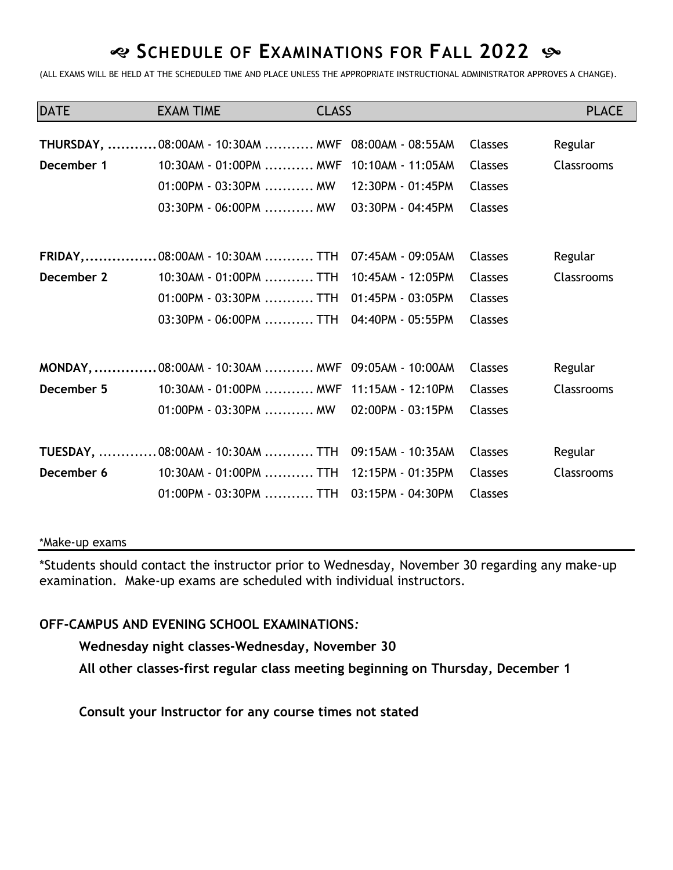### **SCHEDULE OF EXAMINATIONS FOR FALL 2022**

(ALL EXAMS WILL BE HELD AT THE SCHEDULED TIME AND PLACE UNLESS THE APPROPRIATE INSTRUCTIONAL ADMINISTRATOR APPROVES A CHANGE).

| <b>DATE</b> | <b>EXAM TIME</b>                                                                                                                                                                   | <b>CLASS</b> |                                        |                                                                      | <b>PLACE</b>          |
|-------------|------------------------------------------------------------------------------------------------------------------------------------------------------------------------------------|--------------|----------------------------------------|----------------------------------------------------------------------|-----------------------|
| December 1  | THURSDAY,  08:00AM - 10:30AM  MWF 08:00AM - 08:55AM<br>10:30AM - 01:00PM  MWF 10:10AM - 11:05AM<br>$01:00$ PM - 03:30PM  MW<br>$03:30$ PM - 06:00PM  MW                            |              | 12:30PM - 01:45PM<br>03:30PM - 04:45PM | <b>Classes</b><br><b>Classes</b><br><b>Classes</b><br><b>Classes</b> | Regular<br>Classrooms |
| December 2  | FRIDAY, 08:00AM - 10:30AM  TTH 07:45AM - 09:05AM<br>10:30AM - 01:00PM TTH 10:45AM - 12:05PM<br>01:00PM - 03:30PM  TTH 01:45PM - 03:05PM<br>03:30PM - 06:00PM TTH 04:40PM - 05:55PM |              |                                        | <b>Classes</b><br><b>Classes</b><br><b>Classes</b><br><b>Classes</b> | Regular<br>Classrooms |
|             | MONDAY,  08:00AM - 10:30AM  MWF 09:05AM - 10:00AM                                                                                                                                  |              |                                        | Classes                                                              | Regular               |
| December 5  | 10:30AM - 01:00PM  MWF 11:15AM - 12:10PM<br>01:00PM - 03:30PM  MW   02:00PM - 03:15PM                                                                                              |              |                                        | <b>Classes</b><br><b>Classes</b>                                     | Classrooms            |
|             | TUESDAY,  08:00AM - 10:30AM  TTH 09:15AM - 10:35AM                                                                                                                                 |              |                                        | <b>Classes</b>                                                       | Regular               |
| December 6  | 10:30AM - 01:00PM TTH 12:15PM - 01:35PM<br>01:00PM - 03:30PM TTH   03:15PM - 04:30PM                                                                                               |              |                                        | <b>Classes</b><br><b>Classes</b>                                     | Classrooms            |

### \*Make-up exams

\*Students should contact the instructor prior to Wednesday, November 30 regarding any make-up examination. Make-up exams are scheduled with individual instructors.

### **OFF-CAMPUS AND EVENING SCHOOL EXAMINATIONS***:*

**Wednesday night classes-Wednesday, November 30**

**All other classes-first regular class meeting beginning on Thursday, December 1**

**Consult your Instructor for any course times not stated**